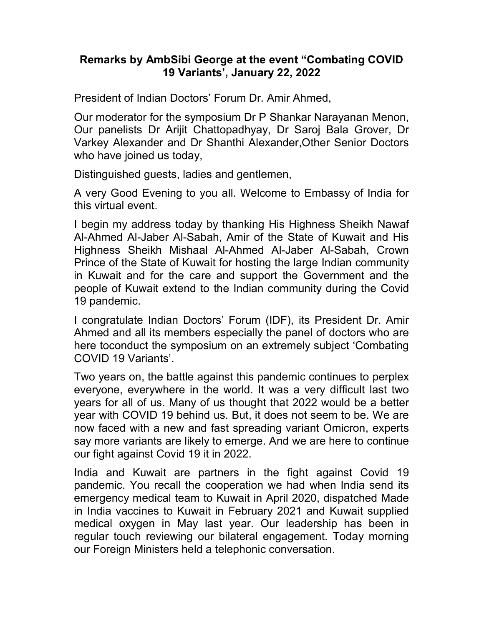## Remarks by AmbSibi George at the event "Combating COVID 19 Variants', January 22, 2022

President of Indian Doctors' Forum Dr. Amir Ahmed,

Our moderator for the symposium Dr P Shankar Narayanan Menon, Our panelists Dr Arijit Chattopadhyay, Dr Saroj Bala Grover, Dr Varkey Alexander and Dr Shanthi Alexander,Other Senior Doctors who have joined us today,

Distinguished guests, ladies and gentlemen,

A very Good Evening to you all. Welcome to Embassy of India for this virtual event.

I begin my address today by thanking His Highness Sheikh Nawaf Al-Ahmed Al-Jaber Al-Sabah, Amir of the State of Kuwait and His Highness Sheikh Mishaal Al-Ahmed Al-Jaber Al-Sabah, Crown Prince of the State of Kuwait for hosting the large Indian community in Kuwait and for the care and support the Government and the people of Kuwait extend to the Indian community during the Covid 19 pandemic.

I congratulate Indian Doctors' Forum (IDF), its President Dr. Amir Ahmed and all its members especially the panel of doctors who are here toconduct the symposium on an extremely subject 'Combating COVID 19 Variants'.

Two years on, the battle against this pandemic continues to perplex everyone, everywhere in the world. It was a very difficult last two years for all of us. Many of us thought that 2022 would be a better year with COVID 19 behind us. But, it does not seem to be. We are now faced with a new and fast spreading variant Omicron, experts say more variants are likely to emerge. And we are here to continue our fight against Covid 19 it in 2022.

India and Kuwait are partners in the fight against Covid 19 pandemic. You recall the cooperation we had when India send its emergency medical team to Kuwait in April 2020, dispatched Made in India vaccines to Kuwait in February 2021 and Kuwait supplied medical oxygen in May last year. Our leadership has been in regular touch reviewing our bilateral engagement. Today morning our Foreign Ministers held a telephonic conversation.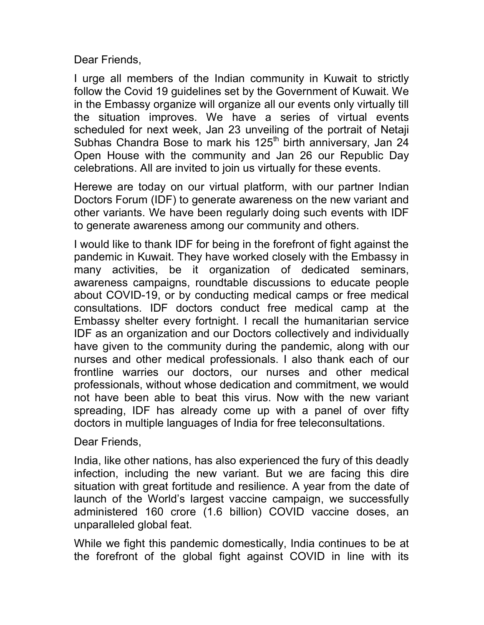Dear Friends,

I urge all members of the Indian community in Kuwait to strictly follow the Covid 19 guidelines set by the Government of Kuwait. We in the Embassy organize will organize all our events only virtually till the situation improves. We have a series of virtual events scheduled for next week, Jan 23 unveiling of the portrait of Netaji Subhas Chandra Bose to mark his 125<sup>th</sup> birth anniversary, Jan 24 Open House with the community and Jan 26 our Republic Day celebrations. All are invited to join us virtually for these events.

Herewe are today on our virtual platform, with our partner Indian Doctors Forum (IDF) to generate awareness on the new variant and other variants. We have been regularly doing such events with IDF to generate awareness among our community and others.

I would like to thank IDF for being in the forefront of fight against the pandemic in Kuwait. They have worked closely with the Embassy in many activities, be it organization of dedicated seminars, awareness campaigns, roundtable discussions to educate people about COVID-19, or by conducting medical camps or free medical consultations. IDF doctors conduct free medical camp at the Embassy shelter every fortnight. I recall the humanitarian service IDF as an organization and our Doctors collectively and individually have given to the community during the pandemic, along with our nurses and other medical professionals. I also thank each of our frontline warries our doctors, our nurses and other medical professionals, without whose dedication and commitment, we would not have been able to beat this virus. Now with the new variant spreading, IDF has already come up with a panel of over fifty doctors in multiple languages of India for free teleconsultations.

Dear Friends,

India, like other nations, has also experienced the fury of this deadly infection, including the new variant. But we are facing this dire situation with great fortitude and resilience. A year from the date of launch of the World's largest vaccine campaign, we successfully administered 160 crore (1.6 billion) COVID vaccine doses, an unparalleled global feat.

While we fight this pandemic domestically, India continues to be at the forefront of the global fight against COVID in line with its